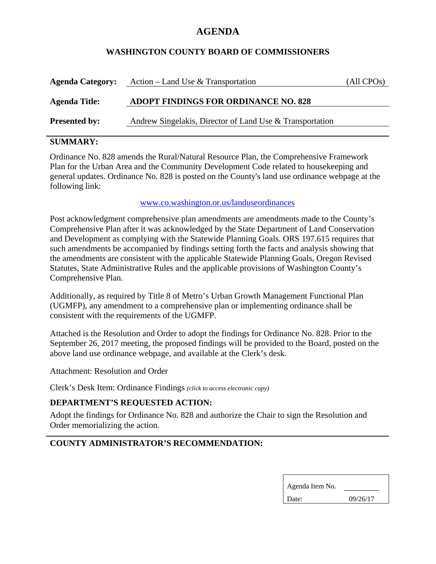# **AGENDA**

### **WASHINGTON COUNTY BOARD OF COMMISSIONERS**

| <b>Agenda Category:</b> | Action – Land Use & Transportation                       | (All CPOs) |
|-------------------------|----------------------------------------------------------|------------|
| <b>Agenda Title:</b>    | <b>ADOPT FINDINGS FOR ORDINANCE NO. 828</b>              |            |
| <b>Presented by:</b>    | Andrew Singelakis, Director of Land Use & Transportation |            |

## **SUMMARY:**

Ordinance No. 828 amends the Rural/Natural Resource Plan, the Comprehensive Framework Plan for the Urban Area and the Community Development Code related to housekeeping and general updates. Ordinance No. 828 is posted on the County's land use ordinance webpage at the following link:

#### www.co.washington.or.us/landuseordinances

Post acknowledgment comprehensive plan amendments are amendments made to the County's Comprehensive Plan after it was acknowledged by the State Department of Land Conservation and Development as complying with the Statewide Planning Goals. ORS 197.615 requires that such amendments be accompanied by findings setting forth the facts and analysis showing that the amendments are consistent with the applicable Statewide Planning Goals, Oregon Revised Statutes, State Administrative Rules and the applicable provisions of Washington County's Comprehensive Plan.

Additionally, as required by Title 8 of Metro's Urban Growth Management Functional Plan (UGMFP), any amendment to a comprehensive plan or implementing ordinance shall be consistent with the requirements of the UGMFP.

Attached is the Resolution and Order to adopt the findings for Ordinance No. 828. Prior to the September 26, 2017 meeting, the proposed findings will be provided to the Board, posted on the above land use ordinance webpage, and available at the Clerk's desk.

Attachment: Resolution and Order

Clerk's Desk Item: Ordinance Findings *(click to access electronic copy)*

### **DEPARTMENT'S REQUESTED ACTION:**

Adopt the findings for Ordinance No. 828 and authorize the Chair to sign the Resolution and Order memorializing the action.

### **COUNTY ADMINISTRATOR'S RECOMMENDATION:**

| Agenda Item No. |          |  |
|-----------------|----------|--|
| Date:           | 09/26/17 |  |